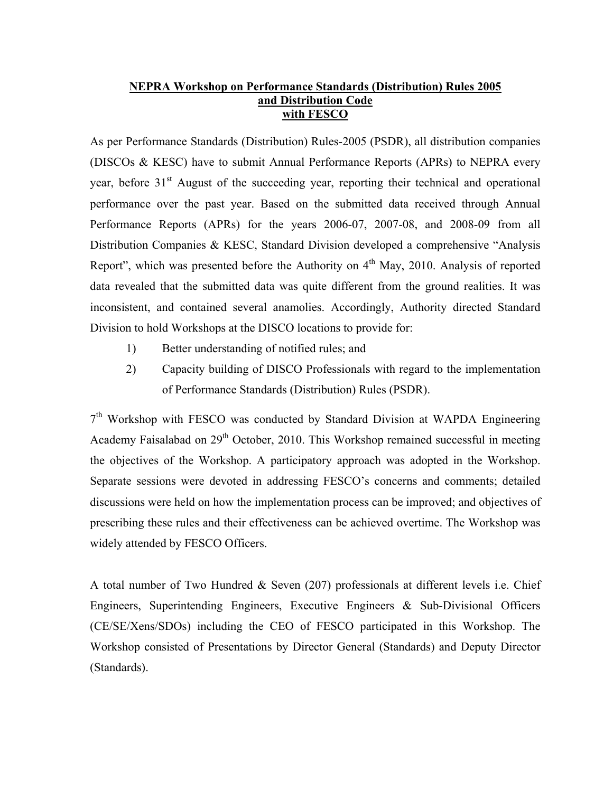## **NEPRA Workshop on Performance Standards (Distribution) Rules 2005 and Distribution Code with FESCO**

As per Performance Standards (Distribution) Rules-2005 (PSDR), all distribution companies (DISCOs & KESC) have to submit Annual Performance Reports (APRs) to NEPRA every year, before 31<sup>st</sup> August of the succeeding year, reporting their technical and operational performance over the past year. Based on the submitted data received through Annual Performance Reports (APRs) for the years 2006-07, 2007-08, and 2008-09 from all Distribution Companies & KESC, Standard Division developed a comprehensive "Analysis Report", which was presented before the Authority on  $4<sup>th</sup>$  May, 2010. Analysis of reported data revealed that the submitted data was quite different from the ground realities. It was inconsistent, and contained several anamolies. Accordingly, Authority directed Standard Division to hold Workshops at the DISCO locations to provide for:

- 1) Better understanding of notified rules; and
- 2) Capacity building of DISCO Professionals with regard to the implementation of Performance Standards (Distribution) Rules (PSDR).

 $7<sup>th</sup>$  Workshop with FESCO was conducted by Standard Division at WAPDA Engineering Academy Faisalabad on 29<sup>th</sup> October, 2010. This Workshop remained successful in meeting the objectives of the Workshop. A participatory approach was adopted in the Workshop. Separate sessions were devoted in addressing FESCO's concerns and comments; detailed discussions were held on how the implementation process can be improved; and objectives of prescribing these rules and their effectiveness can be achieved overtime. The Workshop was widely attended by FESCO Officers.

A total number of Two Hundred & Seven (207) professionals at different levels i.e. Chief Engineers, Superintending Engineers, Executive Engineers & Sub-Divisional Officers (CE/SE/Xens/SDOs) including the CEO of FESCO participated in this Workshop. The Workshop consisted of Presentations by Director General (Standards) and Deputy Director (Standards).